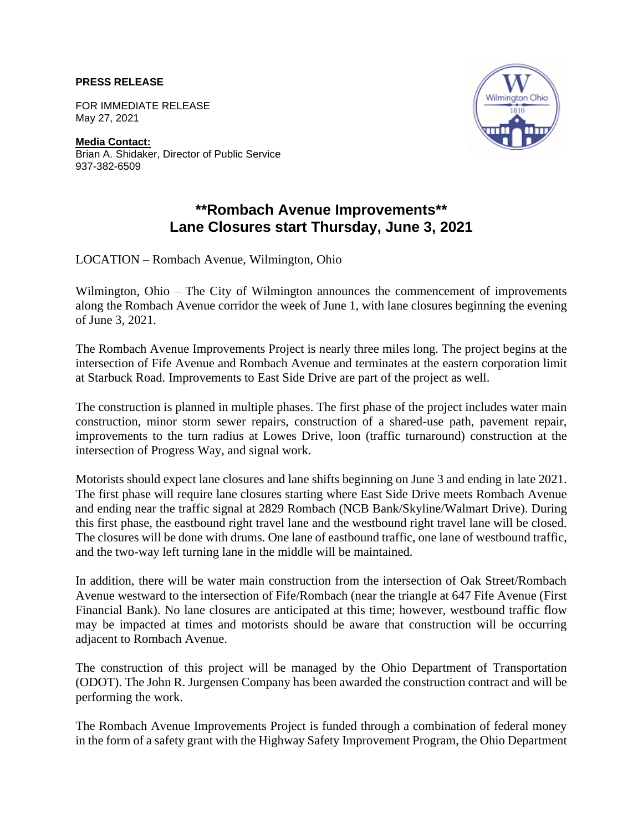## **PRESS RELEASE**

FOR IMMEDIATE RELEASE May 27, 2021

**Media Contact:** Brian A. Shidaker, Director of Public Service 937-382-6509



## **\*\*Rombach Avenue Improvements\*\* Lane Closures start Thursday, June 3, 2021**

LOCATION – Rombach Avenue, Wilmington, Ohio

Wilmington, Ohio – The City of Wilmington announces the commencement of improvements along the Rombach Avenue corridor the week of June 1, with lane closures beginning the evening of June 3, 2021.

The Rombach Avenue Improvements Project is nearly three miles long. The project begins at the intersection of Fife Avenue and Rombach Avenue and terminates at the eastern corporation limit at Starbuck Road. Improvements to East Side Drive are part of the project as well.

The construction is planned in multiple phases. The first phase of the project includes water main construction, minor storm sewer repairs, construction of a shared-use path, pavement repair, improvements to the turn radius at Lowes Drive, loon (traffic turnaround) construction at the intersection of Progress Way, and signal work.

Motorists should expect lane closures and lane shifts beginning on June 3 and ending in late 2021. The first phase will require lane closures starting where East Side Drive meets Rombach Avenue and ending near the traffic signal at 2829 Rombach (NCB Bank/Skyline/Walmart Drive). During this first phase, the eastbound right travel lane and the westbound right travel lane will be closed. The closures will be done with drums. One lane of eastbound traffic, one lane of westbound traffic, and the two-way left turning lane in the middle will be maintained.

In addition, there will be water main construction from the intersection of Oak Street/Rombach Avenue westward to the intersection of Fife/Rombach (near the triangle at 647 Fife Avenue (First Financial Bank). No lane closures are anticipated at this time; however, westbound traffic flow may be impacted at times and motorists should be aware that construction will be occurring adjacent to Rombach Avenue.

The construction of this project will be managed by the Ohio Department of Transportation (ODOT). The John R. Jurgensen Company has been awarded the construction contract and will be performing the work.

The Rombach Avenue Improvements Project is funded through a combination of federal money in the form of a safety grant with the Highway Safety Improvement Program, the Ohio Department